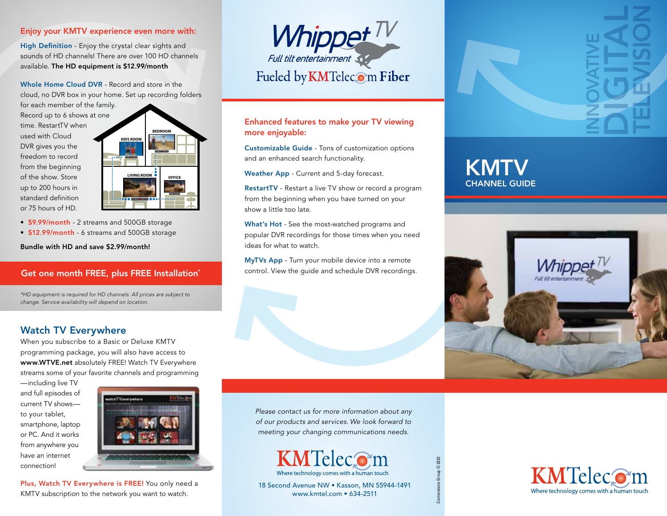### Enjoy your KMTV experience even more with:

High Definition - Enjoy the crystal clear sights and sounds of HD channels! There are over 100 HD channels available. The HD equipment is \$12.99/month

Whole Home Cloud DVR - Record and store in the

cloud, no DVR box in your home. Set up recording folders

for each member of the family. Record up to 6 shows at one time. RestartTV when used with Cloud DVR gives you the freedom to record from the beginning of the show. Store up to 200 hours in standard definition or 75 hours of HD.



- \$9.99/month 2 streams and 500GB storage
- \$12.99/month 6 streams and 500GB storage

Bundle with HD and save \$2.99/month!

#### Get one month FREE, plus FREE Installation\*

*\*HD equipment is required for HD channels. All prices are subject to change. Service availability will depend on location.*

## Watch TV Everywhere

When you subscribe to a Basic or Deluxe KMTV programming package, you will also have access to www.WTVE.net absolutely FREE! Watch TV Everywhere streams some of your favorite channels and programming

—including live TV and full episodes of current TV shows to your tablet, smartphone, laptop or PC. And it works from anywhere you have an internet connection!



Plus, Watch TV Everywhere is FREE! You only need a KMTV subscription to the network you want to watch.



#### Enhanced features to make your TV viewing more enjoyable:

Customizable Guide - Tons of customization options and an enhanced search functionality.

Weather App - Current and 5-day forecast.

RestartTV - Restart a live TV show or record a program from the beginning when you have turned on your show a little too late.

What's Hot - See the most-watched programs and popular DVR recordings for those times when you need ideas for what to watch.

MyTVs App - Turn your mobile device into a remote control. View the guide and schedule DVR recordings. **KMTV** CHANNEL GUIDE



INNOVATIVE

DIGITAL

TELEVISION

*Please contact us for more information about any of our products and services. We look forward to meeting your changing communications needs.*



Cornerstone Group © 2022



18 Second Avenue NW • Kasson, MN 55944-1491 www.kmtel.com • 634-2511